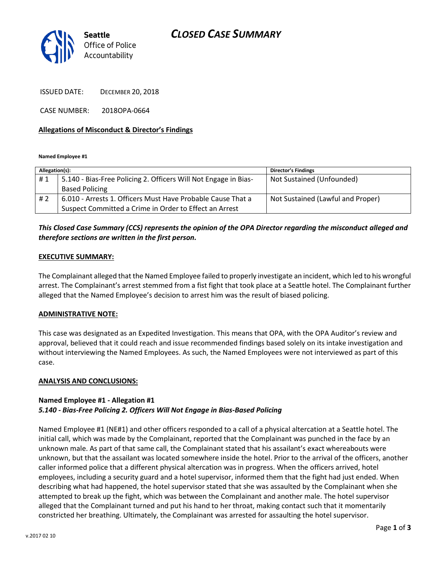# *CLOSED CASE SUMMARY*



ISSUED DATE: DECEMBER 20, 2018

CASE NUMBER: 2018OPA-0664

### **Allegations of Misconduct & Director's Findings**

**Named Employee #1**

| Allegation(s): |                                                                 | <b>Director's Findings</b>        |
|----------------|-----------------------------------------------------------------|-----------------------------------|
| #1             | 5.140 - Bias-Free Policing 2. Officers Will Not Engage in Bias- | Not Sustained (Unfounded)         |
|                | <b>Based Policing</b>                                           |                                   |
| #2             | 6.010 - Arrests 1. Officers Must Have Probable Cause That a     | Not Sustained (Lawful and Proper) |
|                | Suspect Committed a Crime in Order to Effect an Arrest          |                                   |

# *This Closed Case Summary (CCS) represents the opinion of the OPA Director regarding the misconduct alleged and therefore sections are written in the first person.*

#### **EXECUTIVE SUMMARY:**

The Complainant alleged that the Named Employee failed to properly investigate an incident, which led to his wrongful arrest. The Complainant's arrest stemmed from a fist fight that took place at a Seattle hotel. The Complainant further alleged that the Named Employee's decision to arrest him was the result of biased policing.

#### **ADMINISTRATIVE NOTE:**

This case was designated as an Expedited Investigation. This means that OPA, with the OPA Auditor's review and approval, believed that it could reach and issue recommended findings based solely on its intake investigation and without interviewing the Named Employees. As such, the Named Employees were not interviewed as part of this case.

#### **ANALYSIS AND CONCLUSIONS:**

# **Named Employee #1 - Allegation #1**

# *5.140 - Bias-Free Policing 2. Officers Will Not Engage in Bias-Based Policing*

Named Employee #1 (NE#1) and other officers responded to a call of a physical altercation at a Seattle hotel. The initial call, which was made by the Complainant, reported that the Complainant was punched in the face by an unknown male. As part of that same call, the Complainant stated that his assailant's exact whereabouts were unknown, but that the assailant was located somewhere inside the hotel. Prior to the arrival of the officers, another caller informed police that a different physical altercation was in progress. When the officers arrived, hotel employees, including a security guard and a hotel supervisor, informed them that the fight had just ended. When describing what had happened, the hotel supervisor stated that she was assaulted by the Complainant when she attempted to break up the fight, which was between the Complainant and another male. The hotel supervisor alleged that the Complainant turned and put his hand to her throat, making contact such that it momentarily constricted her breathing. Ultimately, the Complainant was arrested for assaulting the hotel supervisor.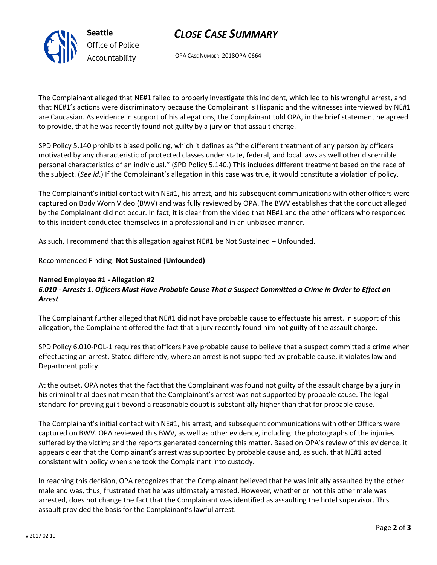

# *CLOSE CASE SUMMARY*

OPA CASE NUMBER: 2018OPA-0664

The Complainant alleged that NE#1 failed to properly investigate this incident, which led to his wrongful arrest, and that NE#1's actions were discriminatory because the Complainant is Hispanic and the witnesses interviewed by NE#1 are Caucasian. As evidence in support of his allegations, the Complainant told OPA, in the brief statement he agreed to provide, that he was recently found not guilty by a jury on that assault charge.

SPD Policy 5.140 prohibits biased policing, which it defines as "the different treatment of any person by officers motivated by any characteristic of protected classes under state, federal, and local laws as well other discernible personal characteristics of an individual." (SPD Policy 5.140.) This includes different treatment based on the race of the subject. (*See id*.) If the Complainant's allegation in this case was true, it would constitute a violation of policy.

The Complainant's initial contact with NE#1, his arrest, and his subsequent communications with other officers were captured on Body Worn Video (BWV) and was fully reviewed by OPA. The BWV establishes that the conduct alleged by the Complainant did not occur. In fact, it is clear from the video that NE#1 and the other officers who responded to this incident conducted themselves in a professional and in an unbiased manner.

As such, I recommend that this allegation against NE#1 be Not Sustained – Unfounded.

## Recommended Finding: **Not Sustained (Unfounded)**

### **Named Employee #1 - Allegation #2**

# *6.010 - Arrests 1. Officers Must Have Probable Cause That a Suspect Committed a Crime in Order to Effect an Arrest*

The Complainant further alleged that NE#1 did not have probable cause to effectuate his arrest. In support of this allegation, the Complainant offered the fact that a jury recently found him not guilty of the assault charge.

SPD Policy 6.010-POL-1 requires that officers have probable cause to believe that a suspect committed a crime when effectuating an arrest. Stated differently, where an arrest is not supported by probable cause, it violates law and Department policy.

At the outset, OPA notes that the fact that the Complainant was found not guilty of the assault charge by a jury in his criminal trial does not mean that the Complainant's arrest was not supported by probable cause. The legal standard for proving guilt beyond a reasonable doubt is substantially higher than that for probable cause.

The Complainant's initial contact with NE#1, his arrest, and subsequent communications with other Officers were captured on BWV. OPA reviewed this BWV, as well as other evidence, including: the photographs of the injuries suffered by the victim; and the reports generated concerning this matter. Based on OPA's review of this evidence, it appears clear that the Complainant's arrest was supported by probable cause and, as such, that NE#1 acted consistent with policy when she took the Complainant into custody.

In reaching this decision, OPA recognizes that the Complainant believed that he was initially assaulted by the other male and was, thus, frustrated that he was ultimately arrested. However, whether or not this other male was arrested, does not change the fact that the Complainant was identified as assaulting the hotel supervisor. This assault provided the basis for the Complainant's lawful arrest.